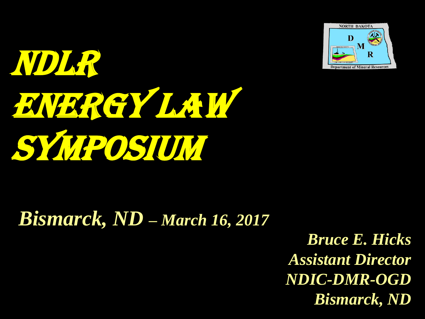



### *Bismarck, ND – March 16, 2017*

*Bruce E. Hicks Assistant Director NDIC-DMR-OGD Bismarck, ND*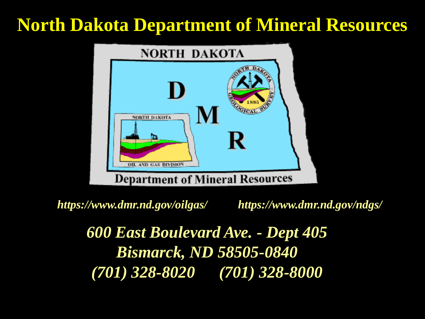#### **North Dakota Department of Mineral Resources**



*https://www.dmr.nd.gov/oilgas/ https://www.dmr.nd.gov/ndgs/*

*600 East Boulevard Ave. - Dept 405 Bismarck, ND 58505-0840 (701) 328-8020 (701) 328-8000*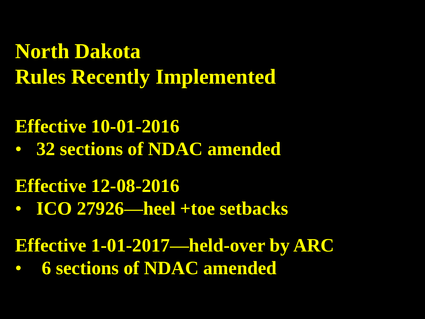**North Dakota Rules Recently Implemented**

#### **Effective 10-01-2016**

• **32 sections of NDAC amended**

#### **Effective 12-08-2016**

- **ICO 27926—heel +toe setbacks**
- **Effective 1-01-2017—held-over by ARC**
- **6 sections of NDAC amended**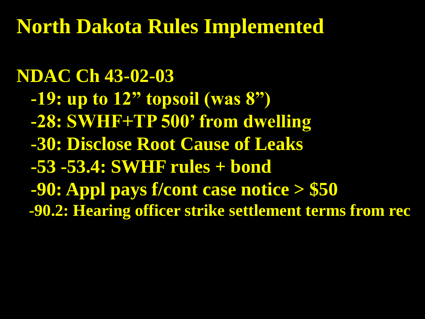### **North Dakota Rules Implemented**

#### **NDAC Ch 43-02-03**

- **-19: up to 12" topsoil (was 8")**
- **-28: SWHF+TP 500' from dwelling**
- **-30: Disclose Root Cause of Leaks**
- **-53 -53.4: SWHF rules + bond**
- **-90: Appl pays f/cont case notice > \$50**
- **-90.2: Hearing officer strike settlement terms from rec**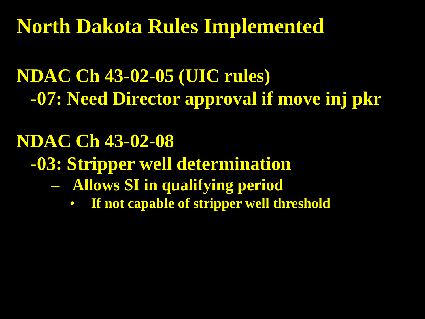**North Dakota Rules Implemented**

### **NDAC Ch 43-02-05 (UIC rules) -07: Need Director approval if move inj pkr**

# **NDAC Ch 43-02-08 -03: Stripper well determination**

- **Allows SI in qualifying period**
	- **If not capable of stripper well threshold**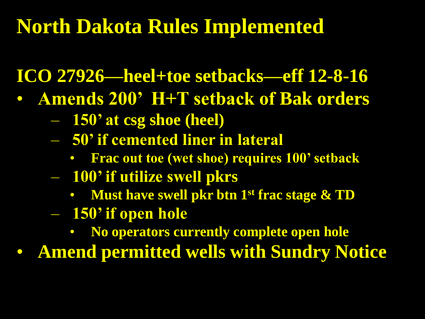## **North Dakota Rules Implemented**

**ICO 27926—heel+toe setbacks—eff 12-8-16**

- **Amends 200' H+T setback of Bak orders**
	- **150' at csg shoe (heel)**
	- **50' if cemented liner in lateral**
		- **Frac out toe (wet shoe) requires 100' setback**
	- **100' if utilize swell pkrs**
		- **Must have swell pkr btn 1 st frac stage & TD**
	- **150' if open hole**
		- **No operators currently complete open hole**

• **Amend permitted wells with Sundry Notice**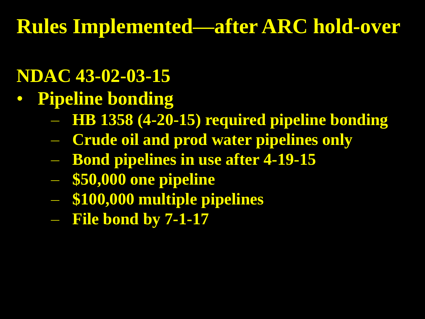#### **NDAC 43-02-03-15**

- **Pipeline bonding**
	- **HB 1358 (4-20-15) required pipeline bonding**
	- **Crude oil and prod water pipelines only**
	- **Bond pipelines in use after 4-19-15**
	- **\$50,000 one pipeline**
	- **\$100,000 multiple pipelines**
	- **File bond by 7-1-17**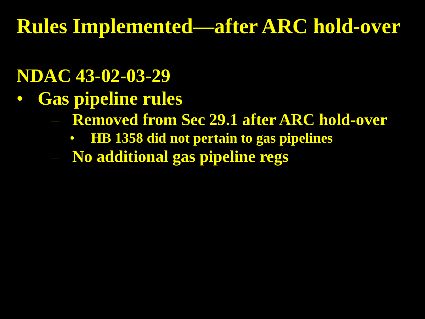#### **NDAC 43-02-03-29**

- **Gas pipeline rules**
	- **Removed from Sec 29.1 after ARC hold-over**
		- **HB 1358 did not pertain to gas pipelines**
	- **No additional gas pipeline regs**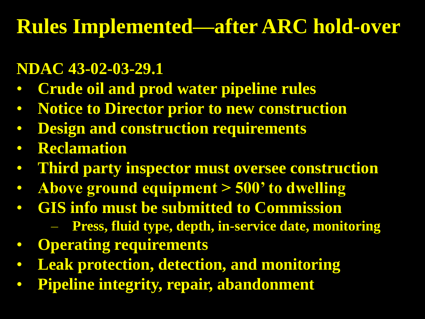#### **NDAC 43-02-03-29.1**

- **Crude oil and prod water pipeline rules**
- **Notice to Director prior to new construction**
- **Design and construction requirements**
- **Reclamation**
- **Third party inspector must oversee construction**
- **Above ground equipment > 500' to dwelling**
- **GIS info must be submitted to Commission**
	- **Press, fluid type, depth, in-service date, monitoring**
- **Operating requirements**
- **Leak protection, detection, and monitoring**
- **Pipeline integrity, repair, abandonment**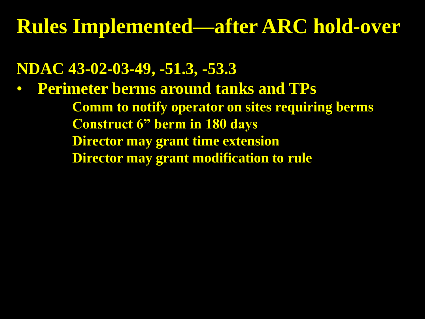#### **NDAC 43-02-03-49, -51.3, -53.3**

- **Perimeter berms around tanks and TPs**
	- **Comm to notify operator on sites requiring berms**
	- **Construct 6" berm in 180 days**
	- **Director may grant time extension**
	- **Director may grant modification to rule**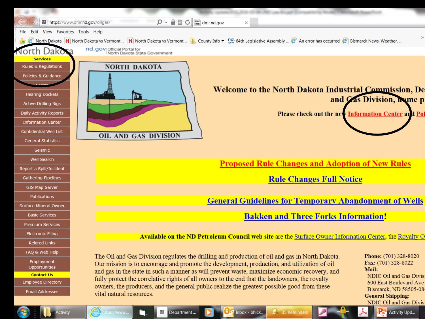